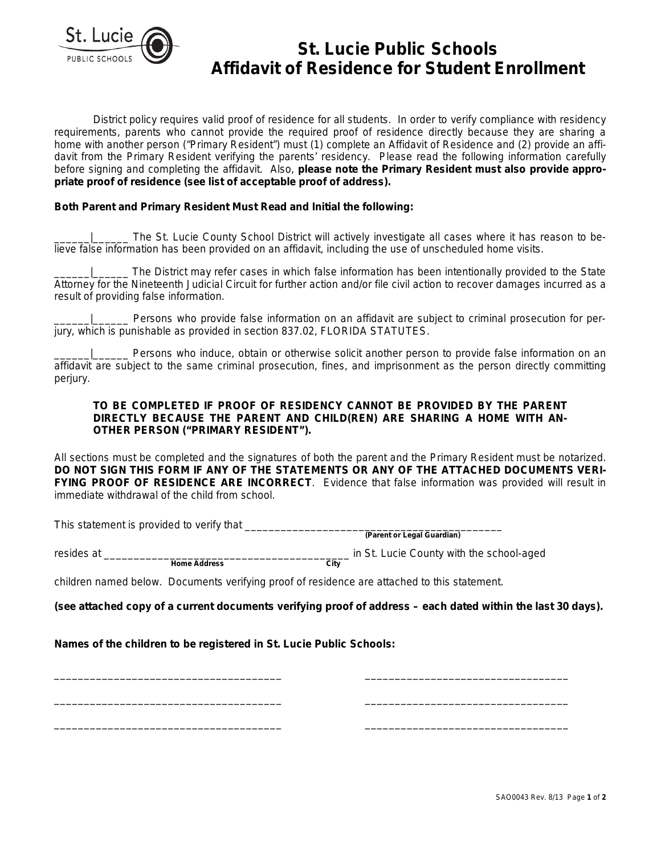

# **St. Lucie Public Schools Affidavit of Residence for Student Enrollment**

District policy requires valid proof of residence for all students. In order to verify compliance with residency requirements, parents who cannot provide the required proof of residence directly because they are sharing a home with another person ("Primary Resident") must (1) complete an Affidavit of Residence and (2) provide an affidavit from the Primary Resident verifying the parents' residency. Please read the following information carefully before signing and completing the affidavit. Also, **please note the Primary Resident must also provide appropriate proof of residence (see list of acceptable proof of address).**

## **Both Parent and Primary Resident Must Read and Initial the following:**

The St. Lucie County School District will actively investigate all cases where it has reason to believe false information has been provided on an affidavit, including the use of unscheduled home visits.

\_\_\_\_\_\_|\_\_\_\_\_\_ The District may refer cases in which false information has been intentionally provided to the State Attorney for the Nineteenth Judicial Circuit for further action and/or file civil action to recover damages incurred as a result of providing false information.

Persons who provide false information on an affidavit are subject to criminal prosecution for perjury, which is punishable as provided in section 837.02, FLORIDA STATUTES.

Persons who induce, obtain or otherwise solicit another person to provide false information on an affidavit are subject to the same criminal prosecution, fines, and imprisonment as the person directly committing perjury.

## **TO BE COMPLETED IF PROOF OF RESIDENCY CANNOT BE PROVIDED BY THE PARENT DIRECTLY BECAUSE THE PARENT AND CHILD(REN) ARE SHARING A HOME WITH AN-OTHER PERSON ("PRIMARY RESIDENT").**

All sections must be completed and the signatures of both the parent and the Primary Resident must be notarized. **DO NOT SIGN THIS FORM IF ANY OF THE STATEMENTS OR ANY OF THE ATTACHED DOCUMENTS VERI-FYING PROOF OF RESIDENCE ARE INCORRECT**. Evidence that false information was provided will result in immediate withdrawal of the child from school.

This statement is provided to verify that \_\_\_\_\_\_\_\_\_\_\_\_\_\_\_\_\_\_\_\_\_\_\_\_\_\_\_\_\_\_\_\_\_\_\_\_\_\_\_\_\_\_\_

**(Parent or Legal Guardian)**

resides at \_\_\_\_\_\_\_\_\_\_\_\_\_\_\_\_\_\_\_\_\_\_\_\_\_\_\_\_\_\_\_\_\_\_\_\_\_\_\_\_\_ in St. Lucie County with the school-aged

children named below. Documents verifying proof of residence are attached to this statement.

**(see attached copy of a current documents verifying proof of address – each dated within the last 30 days).**

\_\_\_\_\_\_\_\_\_\_\_\_\_\_\_\_\_\_\_\_\_\_\_\_\_\_\_\_\_\_\_\_\_\_\_\_\_\_ \_\_\_\_\_\_\_\_\_\_\_\_\_\_\_\_\_\_\_\_\_\_\_\_\_\_\_\_\_\_\_\_\_\_

\_\_\_\_\_\_\_\_\_\_\_\_\_\_\_\_\_\_\_\_\_\_\_\_\_\_\_\_\_\_\_\_\_\_\_\_\_\_ \_\_\_\_\_\_\_\_\_\_\_\_\_\_\_\_\_\_\_\_\_\_\_\_\_\_\_\_\_\_\_\_\_\_

\_\_\_\_\_\_\_\_\_\_\_\_\_\_\_\_\_\_\_\_\_\_\_\_\_\_\_\_\_\_\_\_\_\_\_\_\_\_ \_\_\_\_\_\_\_\_\_\_\_\_\_\_\_\_\_\_\_\_\_\_\_\_\_\_\_\_\_\_\_\_\_\_

**Names of the children to be registered in St. Lucie Public Schools:**

**Home Address** 

SAO0043 Rev. 8/13 Page **1** of **2**